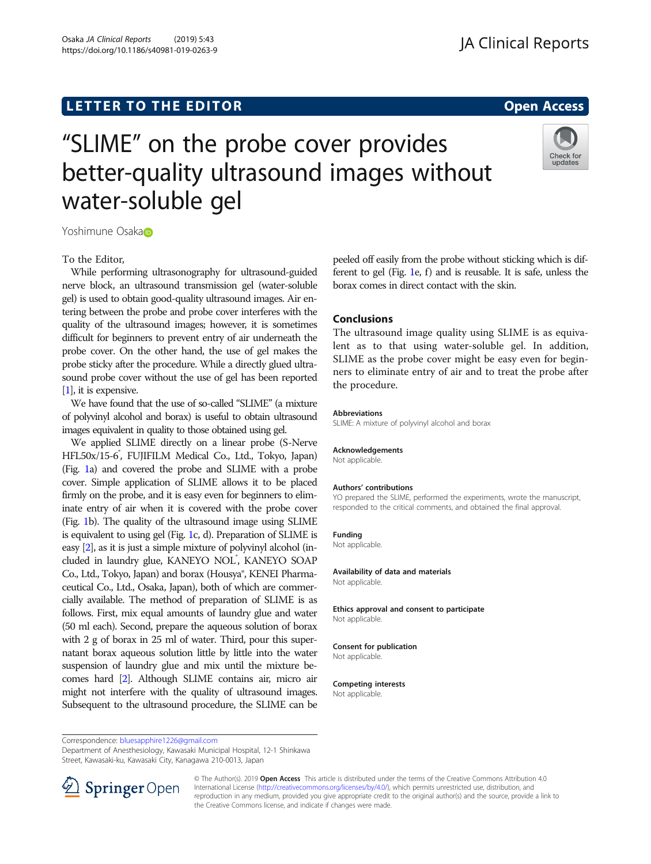Osaka JA Clinical Reports (2019) 5:43 https://doi.org/10.1186/s40981-019-0263-9

# L E T T ER TOR OPEN A T T ER TOR OPEN A T T ER TOR OPEN A T T ER TOR OPEN A T T ER TOR OPEN A T T ER TOR OPEN <br>A t er tor open [Access](http://crossmark.crossref.org/dialog/?doi=10.1186/s40981-019-0263-9&domain=pdf) and the second and the second and the second and the second and the second and the secon

Check for updates

# "SLIME" on the probe cover provides better-quality ultrasound images without water-soluble gel

Yoshimune Os[a](http://orcid.org/0000-0002-1302-1498)ka

To the Editor,

While performing ultrasonography for ultrasound-guided nerve block, an ultrasound transmission gel (water-soluble gel) is used to obtain good-quality ultrasound images. Air entering between the probe and probe cover interferes with the quality of the ultrasound images; however, it is sometimes difficult for beginners to prevent entry of air underneath the probe cover. On the other hand, the use of gel makes the probe sticky after the procedure. While a directly glued ultrasound probe cover without the use of gel has been reported [[1](#page-1-0)], it is expensive.

We have found that the use of so-called "SLIME" (a mixture of polyvinyl alcohol and borax) is useful to obtain ultrasound images equivalent in quality to those obtained using gel.

We applied SLIME directly on a linear probe (S-Nerve HFL50x/15-6® , FUJIFILM Medical Co., Ltd., Tokyo, Japan) (Fig. [1a](#page-1-0)) and covered the probe and SLIME with a probe cover. Simple application of SLIME allows it to be placed firmly on the probe, and it is easy even for beginners to eliminate entry of air when it is covered with the probe cover (Fig. [1](#page-1-0)b). The quality of the ultrasound image using SLIME is equivalent to using gel (Fig. [1c](#page-1-0), d). Preparation of SLIME is easy [\[2\]](#page-1-0), as it is just a simple mixture of polyvinyl alcohol (included in laundry glue, KANEYO NOL<sup>\*</sup>, KANEYO SOAP Co., Ltd., Tokyo, Japan) and borax (Housya®, KENEI Pharmaceutical Co., Ltd., Osaka, Japan), both of which are commercially available. The method of preparation of SLIME is as follows. First, mix equal amounts of laundry glue and water (50 ml each). Second, prepare the aqueous solution of borax with 2 g of borax in 25 ml of water. Third, pour this supernatant borax aqueous solution little by little into the water suspension of laundry glue and mix until the mixture becomes hard [\[2](#page-1-0)]. Although SLIME contains air, micro air might not interfere with the quality of ultrasound images. Subsequent to the ultrasound procedure, the SLIME can be peeled off easily from the probe without sticking which is different to gel (Fig. [1e](#page-1-0), f) and is reusable. It is safe, unless the borax comes in direct contact with the skin.

# **Conclusions**

The ultrasound image quality using SLIME is as equivalent as to that using water-soluble gel. In addition, SLIME as the probe cover might be easy even for beginners to eliminate entry of air and to treat the probe after the procedure.

#### Abbreviations

SLIME: A mixture of polyvinyl alcohol and borax

#### **Acknowledgements**

Not applicable.

#### Authors' contributions

YO prepared the SLIME, performed the experiments, wrote the manuscript, responded to the critical comments, and obtained the final approval.

#### Funding

Not applicable.

#### Availability of data and materials

Not applicable.

Ethics approval and consent to participate Not applicable.

Consent for publication Not applicable.

Competing interests Not applicable.

Department of Anesthesiology, Kawasaki Municipal Hospital, 12-1 Shinkawa Street, Kawasaki-ku, Kawasaki City, Kanagawa 210-0013, Japan



© The Author(s). 2019 Open Access This article is distributed under the terms of the Creative Commons Attribution 4.0 International License ([http://creativecommons.org/licenses/by/4.0/\)](http://creativecommons.org/licenses/by/4.0/), which permits unrestricted use, distribution, and reproduction in any medium, provided you give appropriate credit to the original author(s) and the source, provide a link to the Creative Commons license, and indicate if changes were made.

Correspondence: [bluesapphire1226@gmail.com](mailto:bluesapphire1226@gmail.com)